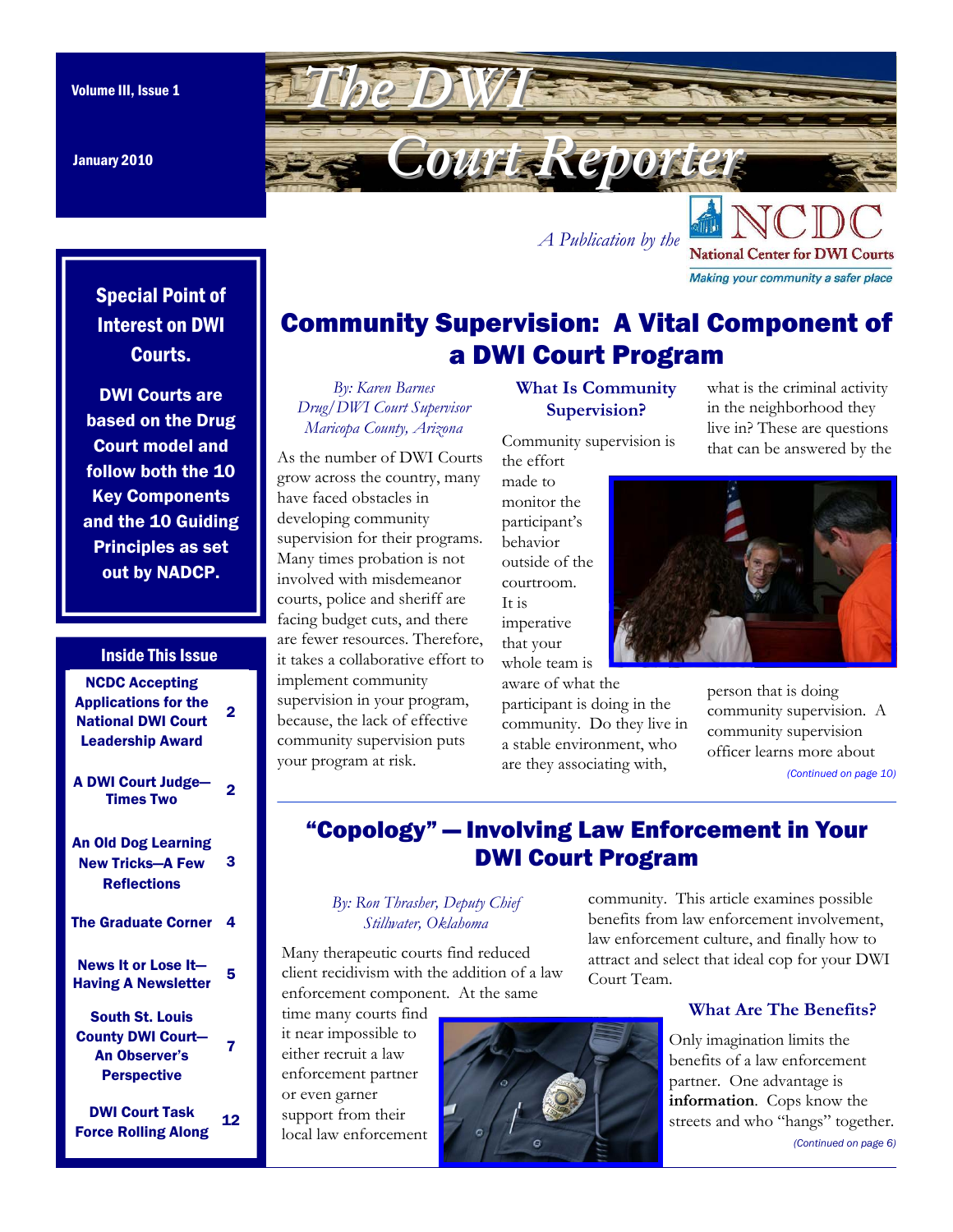January 2010

<span id="page-0-0"></span>Volume III, Issue 1 **The DWI** *Court Reporter Court Reporter* 

Special Point of Interest on DWI Courts.

DWI Courts are based on the Drug Court model and follow both the 10 Key Components and the 10 Guiding Principles as set out by NADCP.

#### Inside This Issue

| <b>NCDC Accepting</b><br><b>Applications for the</b><br><b>National DWI Court</b><br><b>Leadership Award</b> | 2  |
|--------------------------------------------------------------------------------------------------------------|----|
| <b>A DWI Court Judge-</b><br><b>Times Two</b>                                                                | 2  |
| <b>An Old Dog Learning</b><br><b>New Tricks-A Few</b><br><b>Reflections</b>                                  | 3  |
| <b>The Graduate Corner</b>                                                                                   | 4  |
| News It or Lose It-<br><b>Having A Newsletter</b>                                                            | 5  |
| <b>South St. Louis</b><br><b>County DWI Court-</b><br><b>An Observer's</b><br><b>Perspective</b>             | 7  |
| <b>DWI Court Task</b><br><b>Force Rolling Along</b>                                                          | 12 |

## Community Supervision: A Vital Component of a DWI Court Program

*A Publication by th[e](http://www.dwicourts.org/ncdc-home/)* 

*By: Karen Barnes Drug/DWI Court Supervisor Maricopa County, Arizona* 

As the number of DWI Courts grow across the country, many have faced obstacles in developing community supervision for their programs. Many times probation is not involved with misdemeanor courts, police and sheriff are facing budget cuts, and there are fewer resources. Therefore, it takes a collaborative effort to implement community supervision in your program, because, the lack of effective community supervision puts your program at risk.

## **What Is Community Supervision?**

Community supervision is

the effort made to monitor the participant's behavior outside of the courtroom. It is imperative that your whole team is aware of what the

participant is doing in the community. Do they live in a stable environment, who are they associating with,

what is the criminal activity in the neighborhood they live in? These are questions that can be answered by the

**National Center for DWI Courts** Making your community a safer place



person that is doing community supervision. A community supervision officer learns more about *[\(Continued on page 10\)](#page-9-0)* 

## "Copology" — Involving Law Enforcement in Your DWI Court Program

#### *By: Ron Thrasher, Deputy Chief Stillwater, Oklahoma*

Many therapeutic courts find reduced client recidivism with the addition of a law enforcement component. At the same

time many courts find it near impossible to either recruit a law enforcement partner or even garner support from their local law enforcement



community. This article examines possible benefits from law enforcement involvement, law enforcement culture, and finally how to attract and select that ideal cop for your DWI Court Team.

### **What Are The Benefits?**

Only imagination limits the benefits of a law enforcement partner. One advantage is **information**. Cops know the streets and who "hangs" together. *[\(Continued on page 6\)](#page-5-0)*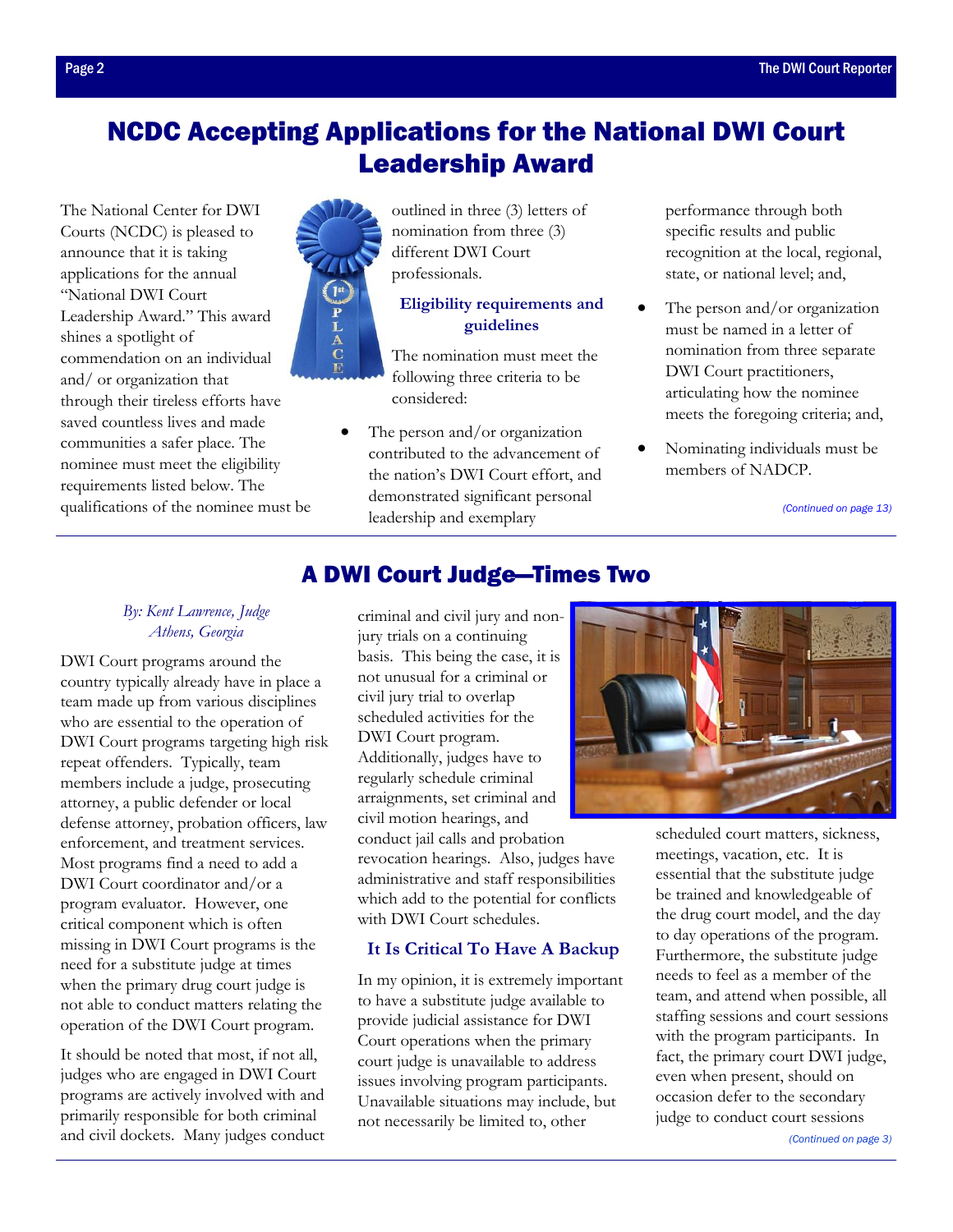## <span id="page-1-0"></span>NCDC Accepting Applications for the National DWI Court Leadership Award

The National Center for DWI Courts (NCDC) is pleased to announce that it is taking applications for the annual "National DWI Court Leadership Award." This award shines a spotlight of commendation on an individual and/ or organization that through their tireless efforts have saved countless lives and made communities a safer place. The nominee must meet the eligibility requirements listed below. The qualifications of the nominee must be



outlined in three (3) letters of nomination from three (3) different DWI Court professionals.

#### **Eligibility requirements and guidelines**

The nomination must meet the following three criteria to be considered:

The person and/or organization contributed to the advancement of the nation's DWI Court effort, and demonstrated significant personal leadership and exemplary

performance through both specific results and public recognition at the local, regional, state, or national level; and,

- The person and/or organization must be named in a letter of nomination from three separate DWI Court practitioners, articulating how the nominee meets the foregoing criteria; and,
- Nominating individuals must be members of NADCP.

*[\(Continued on page 13\)](#page-12-0)* 

#### *By: Kent Lawrence, Judge Athens, Georgia*

DWI Court programs around the country typically already have in place a team made up from various disciplines who are essential to the operation of DWI Court programs targeting high risk repeat offenders. Typically, team members include a judge, prosecuting attorney, a public defender or local defense attorney, probation officers, law enforcement, and treatment services. Most programs find a need to add a DWI Court coordinator and/or a program evaluator. However, one critical component which is often missing in DWI Court programs is the need for a substitute judge at times when the primary drug court judge is not able to conduct matters relating the operation of the DWI Court program.

It should be noted that most, if not all, judges who are engaged in DWI Court programs are actively involved with and primarily responsible for both criminal and civil dockets. Many judges conduct

## A DWI Court Judge—Times Two

criminal and civil jury and nonjury trials on a continuing basis. This being the case, it is not unusual for a criminal or civil jury trial to overlap scheduled activities for the DWI Court program. Additionally, judges have to regularly schedule criminal arraignments, set criminal and civil motion hearings, and conduct jail calls and probation revocation hearings. Also, judges have administrative and staff responsibilities which add to the potential for conflicts with DWI Court schedules.

## **It Is Critical To Have A Backup**

In my opinion, it is extremely important to have a substitute judge available to provide judicial assistance for DWI Court operations when the primary court judge is unavailable to address issues involving program participants. Unavailable situations may include, but not necessarily be limited to, other



scheduled court matters, sickness, meetings, vacation, etc. It is essential that the substitute judge be trained and knowledgeable of the drug court model, and the day to day operations of the program. Furthermore, the substitute judge needs to feel as a member of the team, and attend when possible, all staffing sessions and court sessions with the program participants. In fact, the primary court DWI judge, even when present, should on occasion defer to the secondary judge to conduct court sessions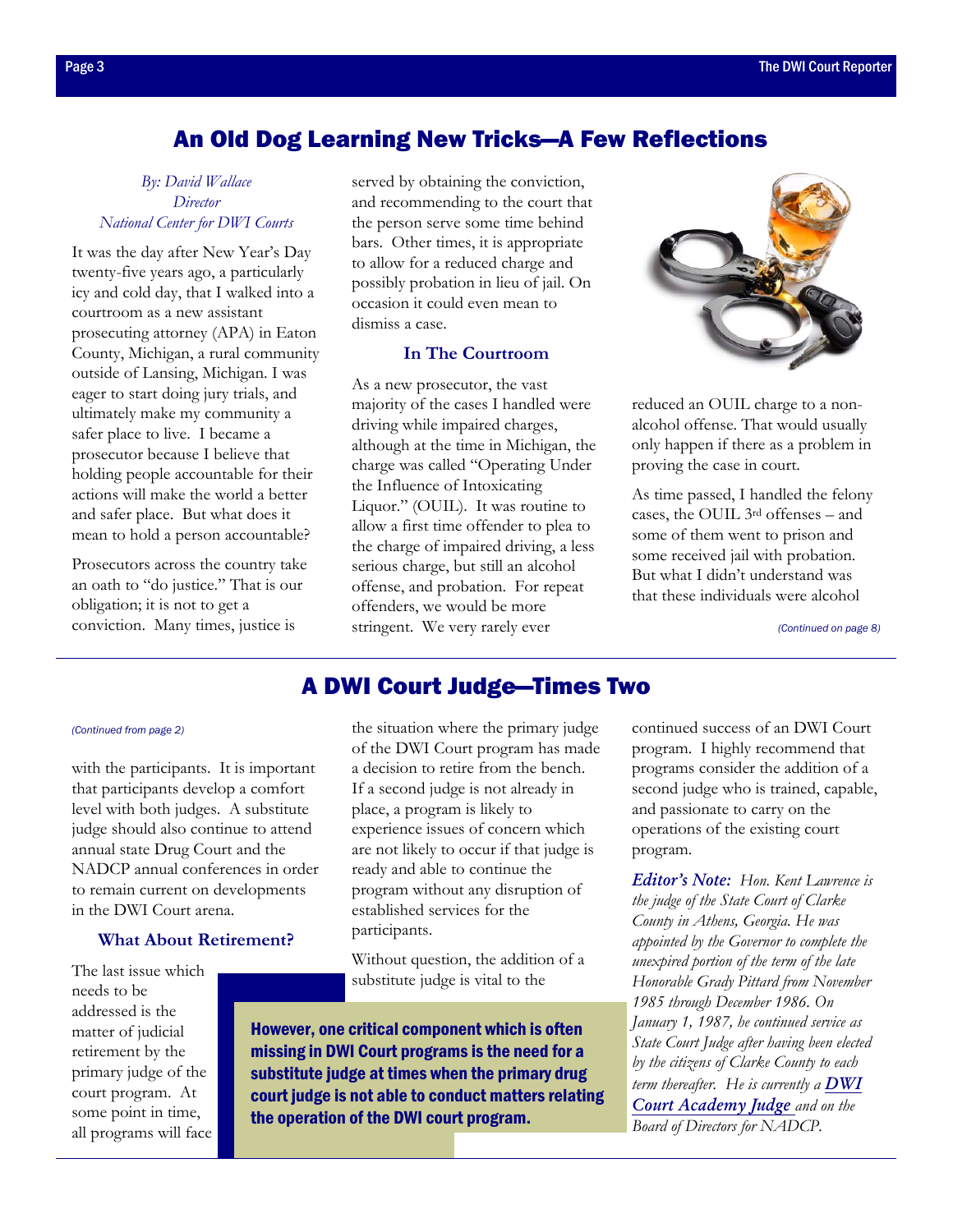## An Old Dog Learning New Tricks—A Few Reflections

#### <span id="page-2-0"></span>*By: David Wallace Director National Center for DWI Courts*

It was the day after New Year's Day twenty-five years ago, a particularly icy and cold day, that I walked into a courtroom as a new assistant prosecuting attorney (APA) in Eaton County, Michigan, a rural community outside of Lansing, Michigan. I was eager to start doing jury trials, and ultimately make my community a safer place to live. I became a prosecutor because I believe that holding people accountable for their actions will make the world a better and safer place. But what does it mean to hold a person accountable?

Prosecutors across the country take an oath to "do justice." That is our obligation; it is not to get a conviction. Many times, justice is

served by obtaining the conviction, and recommending to the court that the person serve some time behind bars. Other times, it is appropriate to allow for a reduced charge and possibly probation in lieu of jail. On occasion it could even mean to dismiss a case.

#### **In The Courtroom**

As a new prosecutor, the vast majority of the cases I handled were driving while impaired charges, although at the time in Michigan, the charge was called "Operating Under the Influence of Intoxicating Liquor." (OUIL). It was routine to allow a first time offender to plea to the charge of impaired driving, a less serious charge, but still an alcohol offense, and probation. For repeat offenders, we would be more stringent. We very rarely ever



reduced an OUIL charge to a nonalcohol offense. That would usually only happen if there as a problem in proving the case in court.

As time passed, I handled the felony cases, the OUIL 3rd offenses – and some of them went to prison and some received jail with probation. But what I didn't understand was that these individuals were alcohol

*[\(Continued on page 8\)](#page-7-0)* 

## A DWI Court Judge—Times Two

#### *[\(Continued from page 2\)](#page-1-0)*

with the participants. It is important that participants develop a comfort level with both judges. A substitute judge should also continue to attend annual state Drug Court and the NADCP annual conferences in order to remain current on developments in the DWI Court arena.

#### **What About Retirement?**

The last issue which needs to be addressed is the matter of judicial retirement by the primary judge of the court program. At some point in time, all programs will face

the situation where the primary judge of the DWI Court program has made a decision to retire from the bench. If a second judge is not already in place, a program is likely to experience issues of concern which are not likely to occur if that judge is ready and able to continue the program without any disruption of established services for the participants.

Without question, the addition of a substitute judge is vital to the

However, one critical component which is often missing in DWI Court programs is the need for a substitute judge at times when the primary drug court judge is not able to conduct matters relating the operation of the DWI court program.

continued success of an DWI Court program. I highly recommend that programs consider the addition of a second judge who is trained, capable, and passionate to carry on the operations of the existing court program.

*Editor's Note: Hon. Kent Lawrence is the judge of the State Court of Clarke County in Athens, Georgia. He was appointed by the Governor to complete the unexpired portion of the term of the late Honorable Grady Pittard from November 1985 through December 1986. On January 1, 1987, he continued service as State Court Judge after having been elected by the citizens of Clarke County to each [term thereafter. He is currently a](http://www.dwicourts.org/learn/about-dwi-courts/dwi-academy-courts) DWI Court Academy Judge and on the Board of Directors for NADCP.*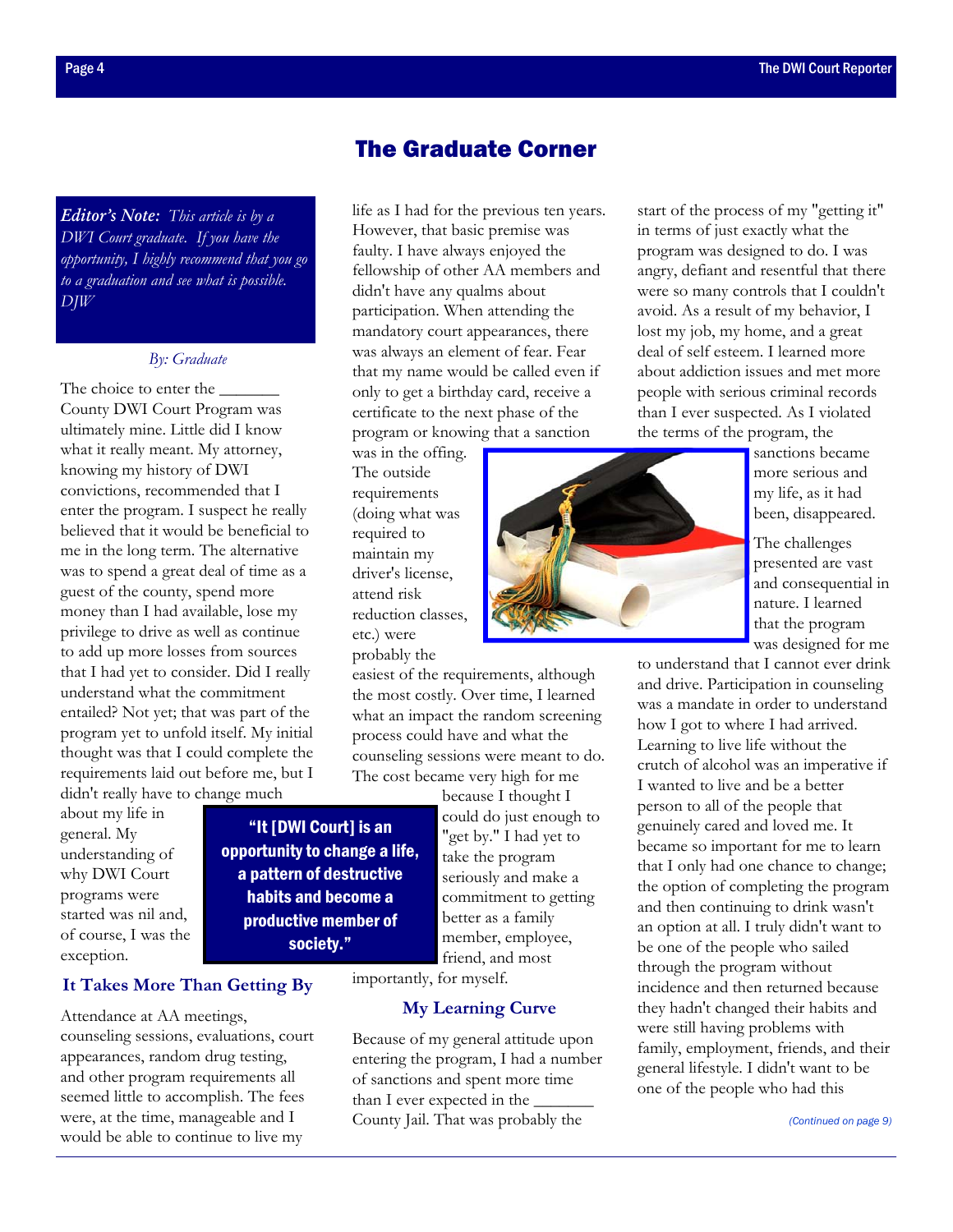## The Graduate Corner

life as I had for the previous ten years. However, that basic premise was faulty. I have always enjoyed the fellowship of other AA members and

didn't have any qualms about participation. When attending the mandatory court appearances, there was always an element of fear. Fear that my name would be called even if only to get a birthday card, receive a certificate to the next phase of the program or knowing that a sanction

was in the offing. The outside requirements (doing what was required to maintain my driver's license, attend risk reduction classes,

etc.) were probably the

*Editor's Note: This article is by a DWI Court graduate. If you have the opportunity, I highly recommend that you go to a graduation and see what is possible. DJW* 

#### *By: Graduate*

The choice to enter the County DWI Court Program was ultimately mine. Little did I know what it really meant. My attorney, knowing my history of DWI convictions, recommended that I enter the program. I suspect he really believed that it would be beneficial to me in the long term. The alternative was to spend a great deal of time as a guest of the county, spend more money than I had available, lose my privilege to drive as well as continue to add up more losses from sources that I had yet to consider. Did I really understand what the commitment entailed? Not yet; that was part of the program yet to unfold itself. My initial thought was that I could complete the requirements laid out before me, but I didn't really have to change much

about my life in general. My understanding of why DWI Court programs were started was nil and, of course, I was the exception.

"It [DWI Court] is an opportunity to change a life, a pattern of destructive habits and become a productive member of society."

because I thought I could do just enough to "get by." I had yet to take the program seriously and make a commitment to getting better as a family member, employee, friend, and most

importantly, for myself.

#### **My Learning Curve**

easiest of the requirements, although the most costly. Over time, I learned what an impact the random screening process could have and what the counseling sessions were meant to do. The cost became very high for me

Because of my general attitude upon entering the program, I had a number of sanctions and spent more time than I ever expected in the County Jail. That was probably the

start of the process of my "getting it" in terms of just exactly what the program was designed to do. I was angry, defiant and resentful that there were so many controls that I couldn't avoid. As a result of my behavior, I lost my job, my home, and a great deal of self esteem. I learned more about addiction issues and met more people with serious criminal records than I ever suspected. As I violated the terms of the program, the



sanctions became more serious and my life, as it had been, disappeared.

The challenges presented are vast and consequential in nature. I learned that the program was designed for me

to understand that I cannot ever drink and drive. Participation in counseling was a mandate in order to understand how I got to where I had arrived. Learning to live life without the crutch of alcohol was an imperative if I wanted to live and be a better person to all of the people that genuinely cared and loved me. It became so important for me to learn that I only had one chance to change; the option of completing the program and then continuing to drink wasn't an option at all. I truly didn't want to be one of the people who sailed through the program without incidence and then returned because they hadn't changed their habits and were still having problems with family, employment, friends, and their general lifestyle. I didn't want to be one of the people who had this

#### **It Takes More Than Getting By**

Attendance at AA meetings, counseling sessions, evaluations, court appearances, random drug testing, and other program requirements all seemed little to accomplish. The fees were, at the time, manageable and I would be able to continue to live my

<span id="page-3-0"></span>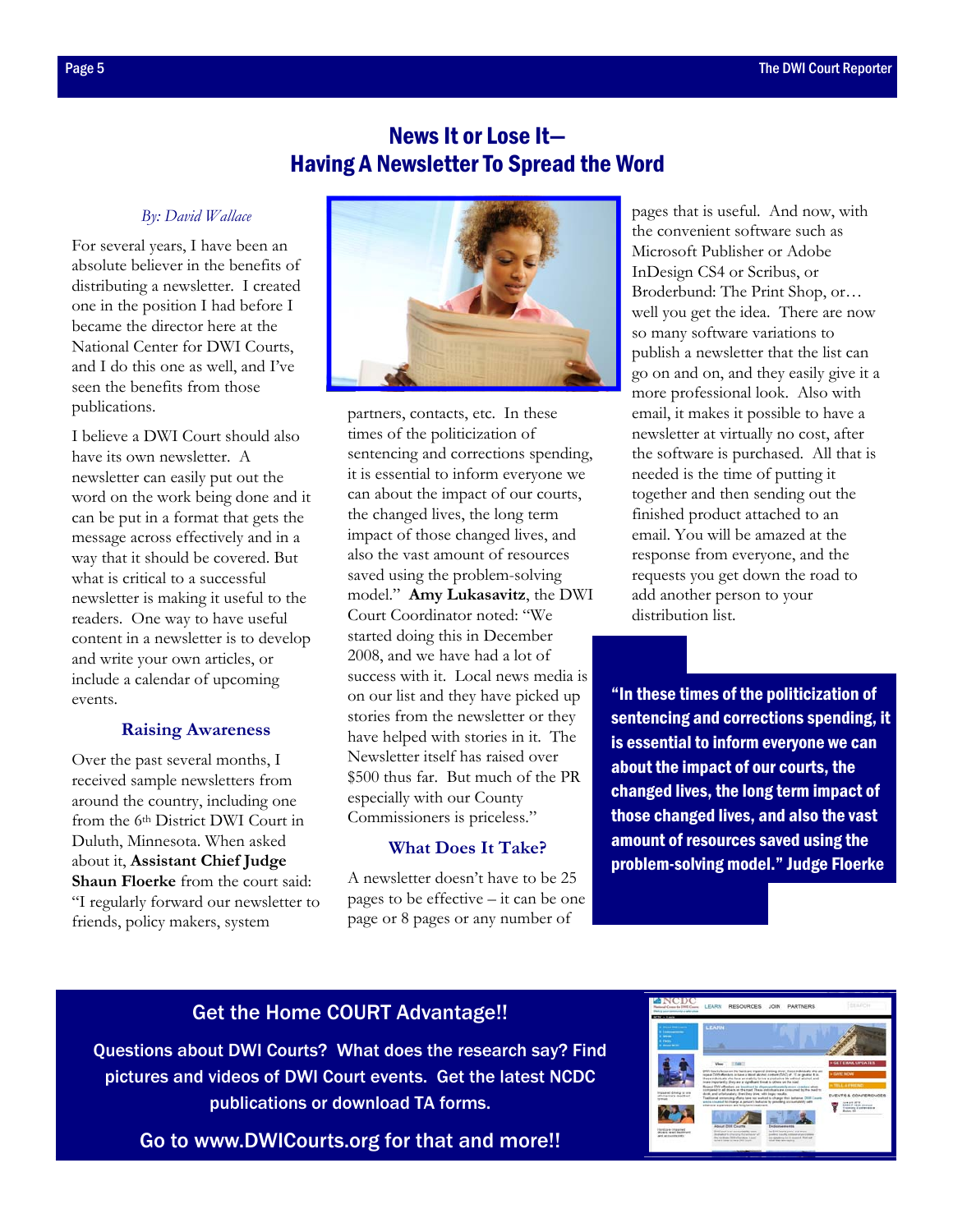## News It or Lose It— Having A Newsletter To Spread the Word

#### *By: David Wallace*

<span id="page-4-0"></span>For several years, I have been an absolute believer in the benefits of distributing a newsletter. I created one in the position I had before I became the director here at the National Center for DWI Courts, and I do this one as well, and I've seen the benefits from those publications.

I believe a DWI Court should also have its own newsletter. A newsletter can easily put out the word on the work being done and it can be put in a format that gets the message across effectively and in a way that it should be covered. But what is critical to a successful newsletter is making it useful to the readers. One way to have useful content in a newsletter is to develop and write your own articles, or include a calendar of upcoming events.

#### **Raising Awareness**

Over the past several months, I received sample newsletters from around the country, including one from the 6th District DWI Court in Duluth, Minnesota. When asked about it, **Assistant Chief Judge Shaun Floerke** from the court said: "I regularly forward our newsletter to friends, policy makers, system



partners, contacts, etc. In these times of the politicization of sentencing and corrections spending, it is essential to inform everyone we can about the impact of our courts, the changed lives, the long term impact of those changed lives, and also the vast amount of resources saved using the problem-solving model." **Amy Lukasavitz**, the DWI Court Coordinator noted: "We started doing this in December 2008, and we have had a lot of success with it. Local news media is on our list and they have picked up stories from the newsletter or they have helped with stories in it. The Newsletter itself has raised over \$500 thus far. But much of the PR especially with our County Commissioners is priceless."

#### **What Does It Take?**

A newsletter doesn't have to be 25 pages to be effective – it can be one page or 8 pages or any number of

pages that is useful. And now, with the convenient software such as Microsoft Publisher or Adobe InDesign CS4 or Scribus, or Broderbund: The Print Shop, or… well you get the idea. There are now so many software variations to publish a newsletter that the list can go on and on, and they easily give it a more professional look. Also with email, it makes it possible to have a newsletter at virtually no cost, after the software is purchased. All that is needed is the time of putting it together and then sending out the finished product attached to an email. You will be amazed at the response from everyone, and the requests you get down the road to add another person to your distribution list.

"In these times of the politicization of sentencing and corrections spending, it is essential to inform everyone we can about the impact of our courts, the changed lives, the long term impact of those changed lives, and also the vast amount of resources saved using the problem-solving model." Judge Floerke

## Get the Home COURT Advantage!!

[Questions about DWI Courts? What does the research say? Find](http://www.dwicourts.org/ncdc-home/)  pictures and videos of DWI Court events. Get the latest NCDC publications or download TA forms.

Go to www.DWICourts.org for that and more!!

| of Connective DWG Course.<br>of sales constituents a party artists<br>CDC v Lanta                                                                                          | LEARN                                                                                                                                                                                                                                                                                                                                                                                                                                                                                                                                                                                                                                                                                                                                                                                                                                                                                                                                         | RESOURCES JOIN                         | <b>PARTNERS</b>                                                                                                                                                                                                  |                                                                                                                                                                                             |
|----------------------------------------------------------------------------------------------------------------------------------------------------------------------------|-----------------------------------------------------------------------------------------------------------------------------------------------------------------------------------------------------------------------------------------------------------------------------------------------------------------------------------------------------------------------------------------------------------------------------------------------------------------------------------------------------------------------------------------------------------------------------------------------------------------------------------------------------------------------------------------------------------------------------------------------------------------------------------------------------------------------------------------------------------------------------------------------------------------------------------------------|----------------------------------------|------------------------------------------------------------------------------------------------------------------------------------------------------------------------------------------------------------------|---------------------------------------------------------------------------------------------------------------------------------------------------------------------------------------------|
| <b>Change State Lowers</b><br><b>Latingwood</b><br><b>Security</b><br>a ragu-<br><b>Britannich Miller</b>                                                                  | <b>LEARN</b>                                                                                                                                                                                                                                                                                                                                                                                                                                                                                                                                                                                                                                                                                                                                                                                                                                                                                                                                  |                                        |                                                                                                                                                                                                                  |                                                                                                                                                                                             |
| Impared driving is you.<br>of America's deadless!<br><b>MONTANA</b><br><b><i><u>Send cars (maximal</u></i></b><br><b>Bloats land Easterald</b><br>abot accounts toldy<br>. | Very Library<br>scalar book in the Colly well and a series and a water and with William and<br>these schoolcals who have an matchin, to low a preductive big without attained, and<br>muss importantly. Day are a significant throat to others on the niast<br>Regeal DVA eRondors are involved to dispersonationalists more cracker allow.<br>comparation all drivers on the road. These industrials are consumed by the meet to<br>show, and unfaturately. She idea show with longer results.<br>Trailitional sentencing efforts have not warked to change their behavior. DISE County<br>were closed to charge a person's building by precising accountability with<br>ellerate signiversity and king bein beatmant.<br><b>Albanyt Drive Canadia</b><br>Both Court is an accountability source<br>instruments of the company that best party of<br>the fundamental detailed and a higher<br>include it transports that the first financial | Endorsements<br>wind their box-basics. | DW Courts fancs on the hardcure impaired distring tituer, these industrials also are<br>An Arm Deams great, and worse<br>position from the contemporary of press<br>and detections feel to depress \$1 Most out- | <b>» GET EMAIL UPDATES</b><br>> GANT MOVE<br><b>TELL A PHENO</b><br>EVENTS & CONFERENCES<br><b>WIND AND ARTIST</b><br><b>BARTH TOM ACCURA</b><br><b>Training Exchangers</b><br>Broken Allen |
|                                                                                                                                                                            |                                                                                                                                                                                                                                                                                                                                                                                                                                                                                                                                                                                                                                                                                                                                                                                                                                                                                                                                               |                                        |                                                                                                                                                                                                                  |                                                                                                                                                                                             |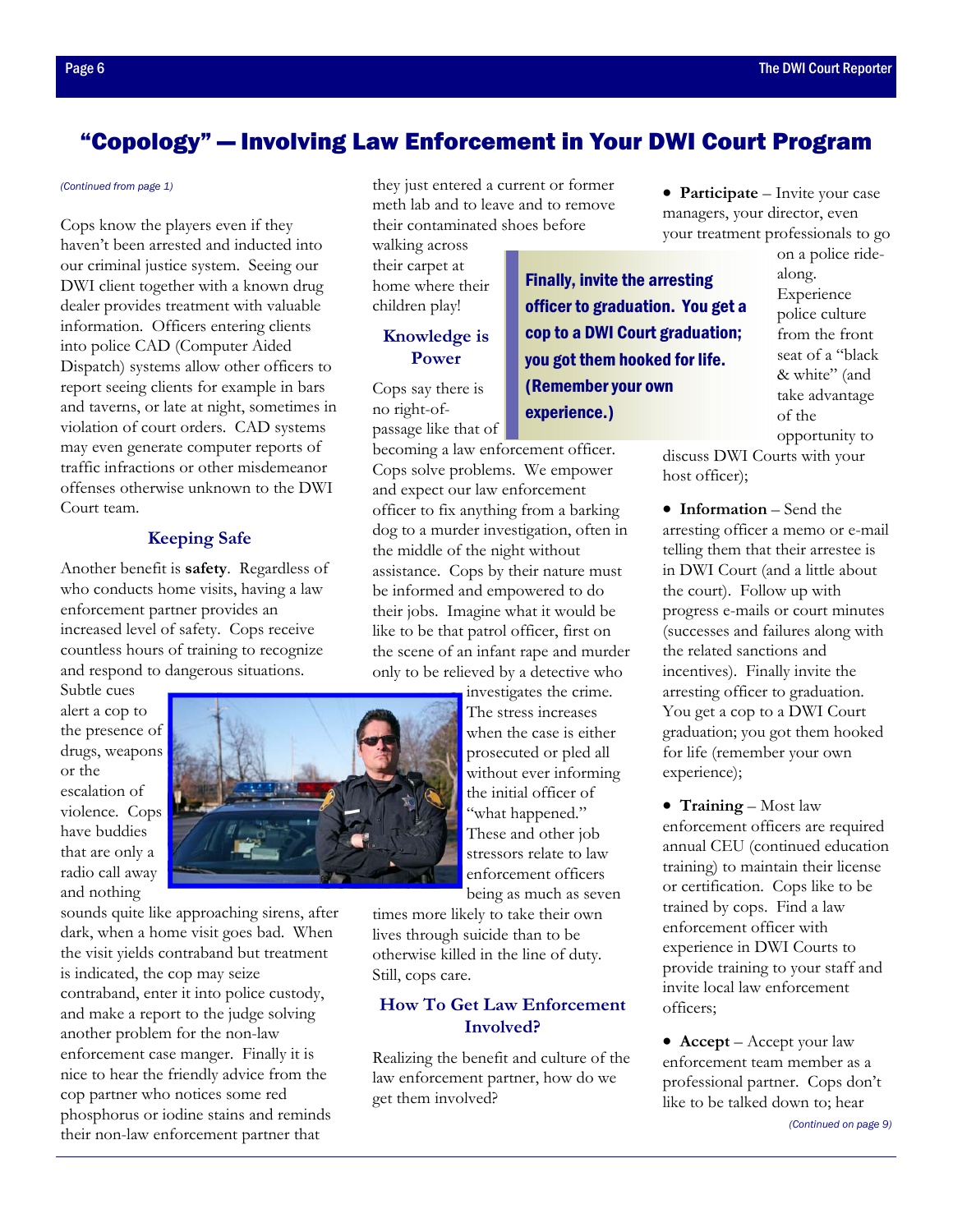## <span id="page-5-0"></span>"Copology" — Involving Law Enforcement in Your DWI Court Program

#### *[\(Continued from page 1\)](#page-0-0)*

Cops know the players even if they haven't been arrested and inducted into our criminal justice system. Seeing our DWI client together with a known drug dealer provides treatment with valuable information. Officers entering clients into police CAD (Computer Aided Dispatch) systems allow other officers to report seeing clients for example in bars and taverns, or late at night, sometimes in violation of court orders. CAD systems may even generate computer reports of traffic infractions or other misdemeanor offenses otherwise unknown to the DWI Court team.

#### **Keeping Safe**

Another benefit is **safety**. Regardless of who conducts home visits, having a law enforcement partner provides an increased level of safety. Cops receive countless hours of training to recognize and respond to dangerous situations.

Subtle cues alert a cop to the presence of drugs, weapons or the escalation of violence. Cops have buddies that are only a radio call away and nothing

sounds quite like approaching sirens, after dark, when a home visit goes bad. When the visit yields contraband but treatment is indicated, the cop may seize contraband, enter it into police custody, and make a report to the judge solving another problem for the non-law enforcement case manger. Finally it is nice to hear the friendly advice from the cop partner who notices some red phosphorus or iodine stains and reminds their non-law enforcement partner that

they just entered a current or former meth lab and to leave and to remove their contaminated shoes before

walking across their carpet at home where their children play!

#### **Knowledge is Power**

Cops say there is no right-ofpassage like that of

becoming a law enforcement officer. Cops solve problems. We empower and expect our law enforcement officer to fix anything from a barking dog to a murder investigation, often in the middle of the night without assistance. Cops by their nature must be informed and empowered to do their jobs. Imagine what it would be like to be that patrol officer, first on the scene of an infant rape and murder only to be relieved by a detective who

> investigates the crime. The stress increases when the case is either prosecuted or pled all without ever informing the initial officer of "what happened." These and other job stressors relate to law enforcement officers being as much as seven

times more likely to take their own lives through suicide than to be otherwise killed in the line of duty. Still, cops care.

#### **How To Get Law Enforcement Involved?**

Realizing the benefit and culture of the law enforcement partner, how do we get them involved?

• **Participate** – Invite your case managers, your director, even your treatment professionals to go

Finally, invite the arresting officer to graduation. You get a cop to a DWI Court graduation; you got them hooked for life. (Remember your own experience.)

on a police ridealong. Experience police culture from the front seat of a "black & white" (and take advantage of the opportunity to

discuss DWI Courts with your host officer);

• **Information** – Send the arresting officer a memo or e-mail telling them that their arrestee is in DWI Court (and a little about the court). Follow up with progress e-mails or court minutes (successes and failures along with the related sanctions and incentives). Finally invite the arresting officer to graduation. You get a cop to a DWI Court graduation; you got them hooked for life (remember your own experience);

• **Training** – Most law enforcement officers are required annual CEU (continued education training) to maintain their license or certification. Cops like to be trained by cops. Find a law enforcement officer with experience in DWI Courts to provide training to your staff and invite local law enforcement officers;

• **Accept** – Accept your law enforcement team member as a professional partner. Cops don't like to be talked down to; hear

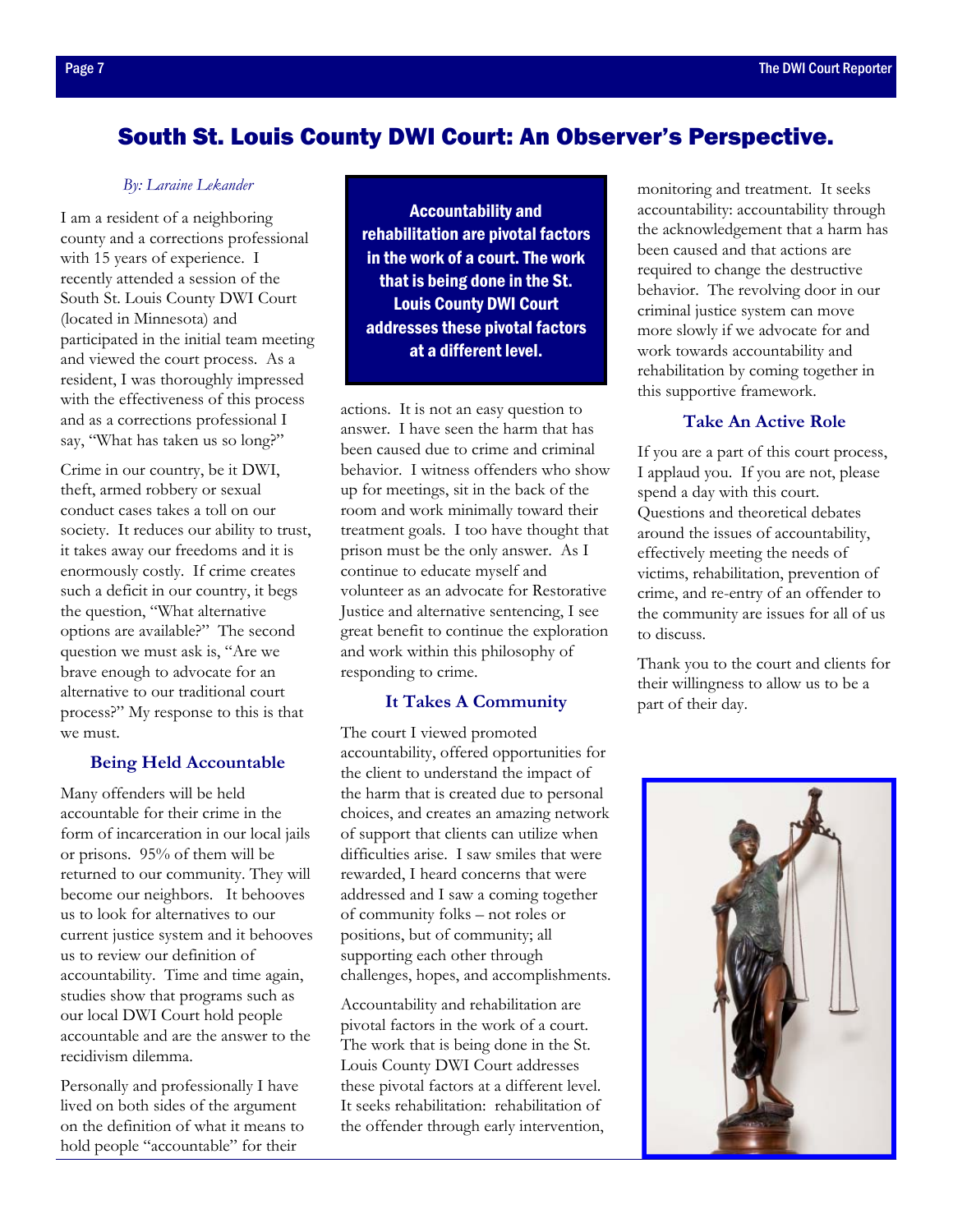## <span id="page-6-0"></span>South St. Louis County DWI Court: An Observer's Perspective.

#### *By: Laraine Lekander*

I am a resident of a neighboring county and a corrections professional with 15 years of experience. I recently attended a session of the South St. Louis County DWI Court (located in Minnesota) and participated in the initial team meeting and viewed the court process. As a resident, I was thoroughly impressed with the effectiveness of this process and as a corrections professional I say, "What has taken us so long?"

Crime in our country, be it DWI, theft, armed robbery or sexual conduct cases takes a toll on our society. It reduces our ability to trust, it takes away our freedoms and it is enormously costly. If crime creates such a deficit in our country, it begs the question, "What alternative options are available?" The second question we must ask is, "Are we brave enough to advocate for an alternative to our traditional court process?" My response to this is that we must.

#### **Being Held Accountable**

Many offenders will be held accountable for their crime in the form of incarceration in our local jails or prisons. 95% of them will be returned to our community. They will become our neighbors. It behooves us to look for alternatives to our current justice system and it behooves us to review our definition of accountability. Time and time again, studies show that programs such as our local DWI Court hold people accountable and are the answer to the recidivism dilemma.

Personally and professionally I have lived on both sides of the argument on the definition of what it means to hold people "accountable" for their

Accountability and rehabilitation are pivotal factors in the work of a court. The work that is being done in the St. Louis County DWI Court addresses these pivotal factors at a different level.

actions. It is not an easy question to answer. I have seen the harm that has been caused due to crime and criminal behavior. I witness offenders who show up for meetings, sit in the back of the room and work minimally toward their treatment goals. I too have thought that prison must be the only answer. As I continue to educate myself and volunteer as an advocate for Restorative Justice and alternative sentencing, I see great benefit to continue the exploration and work within this philosophy of responding to crime.

#### **It Takes A Community**

The court I viewed promoted accountability, offered opportunities for the client to understand the impact of the harm that is created due to personal choices, and creates an amazing network of support that clients can utilize when difficulties arise. I saw smiles that were rewarded, I heard concerns that were addressed and I saw a coming together of community folks – not roles or positions, but of community; all supporting each other through challenges, hopes, and accomplishments.

Accountability and rehabilitation are pivotal factors in the work of a court. The work that is being done in the St. Louis County DWI Court addresses these pivotal factors at a different level. It seeks rehabilitation: rehabilitation of the offender through early intervention,

monitoring and treatment. It seeks accountability: accountability through the acknowledgement that a harm has been caused and that actions are required to change the destructive behavior. The revolving door in our criminal justice system can move more slowly if we advocate for and work towards accountability and rehabilitation by coming together in this supportive framework.

#### **Take An Active Role**

If you are a part of this court process, I applaud you. If you are not, please spend a day with this court. Questions and theoretical debates around the issues of accountability, effectively meeting the needs of victims, rehabilitation, prevention of crime, and re-entry of an offender to the community are issues for all of us to discuss.

Thank you to the court and clients for their willingness to allow us to be a part of their day.

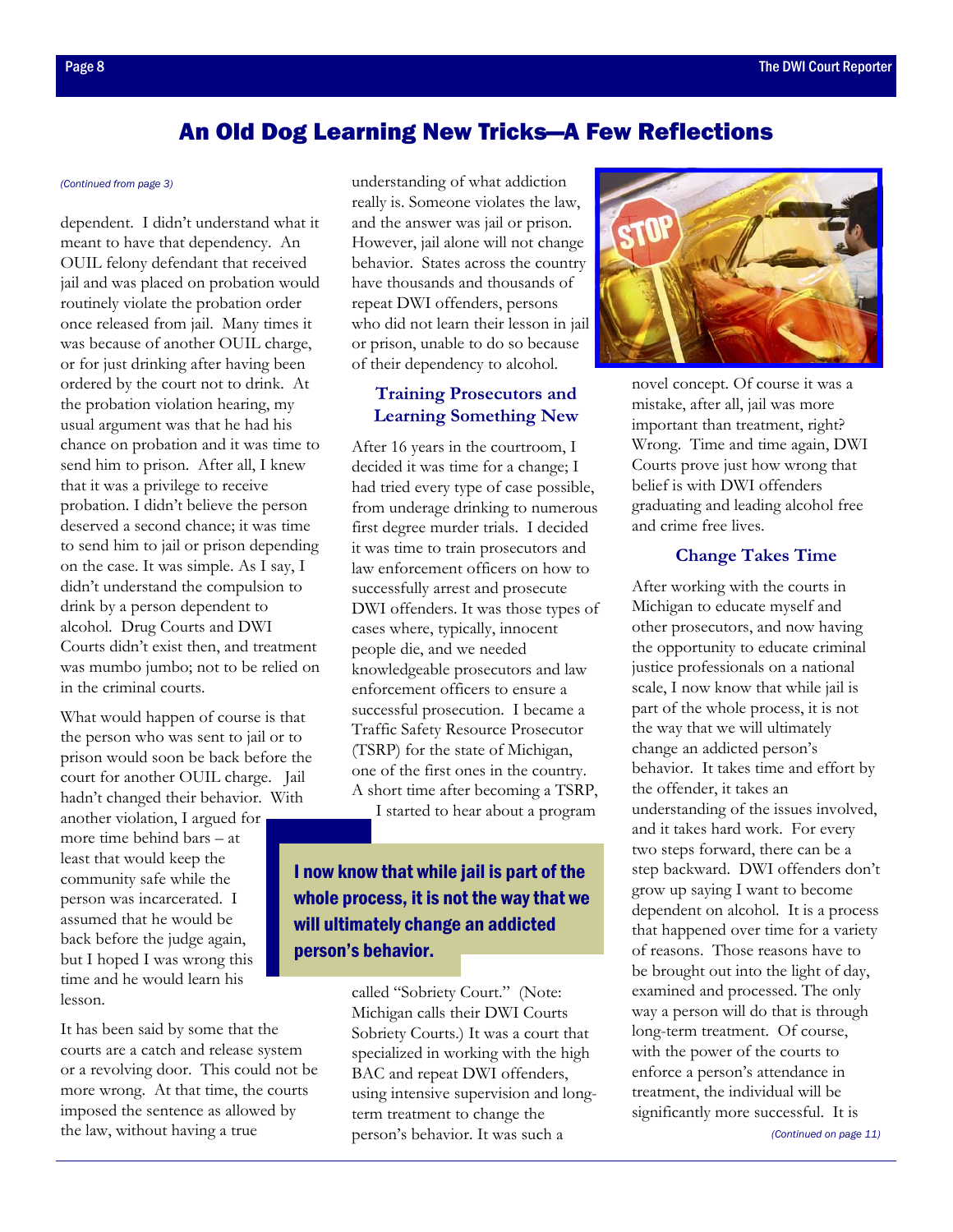## An Old Dog Learning New Tricks—A Few Reflections

dependent. I didn't understand what it meant to have that dependency. An OUIL felony defendant that received jail and was placed on probation would routinely violate the probation order once released from jail. Many times it was because of another OUIL charge, or for just drinking after having been ordered by the court not to drink. At the probation violation hearing, my usual argument was that he had his chance on probation and it was time to send him to prison. After all, I knew that it was a privilege to receive probation. I didn't believe the person deserved a second chance; it was time to send him to jail or prison depending on the case. It was simple. As I say, I didn't understand the compulsion to drink by a person dependent to alcohol. Drug Courts and DWI Courts didn't exist then, and treatment was mumbo jumbo; not to be relied on in the criminal courts.

What would happen of course is that the person who was sent to jail or to prison would soon be back before the court for another OUIL charge. Jail hadn't changed their behavior. With another violation, I argued for more time behind bars – at least that would keep the community safe while the person was incarcerated. I assumed that he would be back before the judge again, but I hoped I was wrong this time and he would learn his lesson.

It has been said by some that the courts are a catch and release system or a revolving door. This could not be more wrong. At that time, the courts imposed the sentence as allowed by the law, without having a true

<span id="page-7-0"></span>*[\(Continued from page 3\)](#page-2-0)* understanding of what addiction really is. Someone violates the law, and the answer was jail or prison. However, jail alone will not change behavior. States across the country have thousands and thousands of repeat DWI offenders, persons who did not learn their lesson in jail or prison, unable to do so because of their dependency to alcohol.

#### **Training Prosecutors and Learning Something New**

After 16 years in the courtroom, I decided it was time for a change; I had tried every type of case possible, from underage drinking to numerous first degree murder trials. I decided it was time to train prosecutors and law enforcement officers on how to successfully arrest and prosecute DWI offenders. It was those types of cases where, typically, innocent people die, and we needed knowledgeable prosecutors and law enforcement officers to ensure a successful prosecution. I became a Traffic Safety Resource Prosecutor (TSRP) for the state of Michigan, one of the first ones in the country. A short time after becoming a TSRP,

I started to hear about a program

## I now know that while jail is part of the whole process, it is not the way that we will ultimately change an addicted person's behavior.

called "Sobriety Court." (Note: Michigan calls their DWI Courts Sobriety Courts.) It was a court that specialized in working with the high BAC and repeat DWI offenders, using intensive supervision and longterm treatment to change the person's behavior. It was such a



novel concept. Of course it was a mistake, after all, jail was more important than treatment, right? Wrong. Time and time again, DWI Courts prove just how wrong that belief is with DWI offenders graduating and leading alcohol free and crime free lives.

#### **Change Takes Time**

After working with the courts in Michigan to educate myself and other prosecutors, and now having the opportunity to educate criminal justice professionals on a national scale, I now know that while jail is part of the whole process, it is not the way that we will ultimately change an addicted person's behavior. It takes time and effort by the offender, it takes an understanding of the issues involved, and it takes hard work. For every two steps forward, there can be a step backward. DWI offenders don't grow up saying I want to become dependent on alcohol. It is a process that happened over time for a variety of reasons. Those reasons have to be brought out into the light of day, examined and processed. The only way a person will do that is through long-term treatment. Of course, with the power of the courts to enforce a person's attendance in treatment, the individual will be significantly more successful. It is

*[\(Continued on page 11\)](#page-10-0)*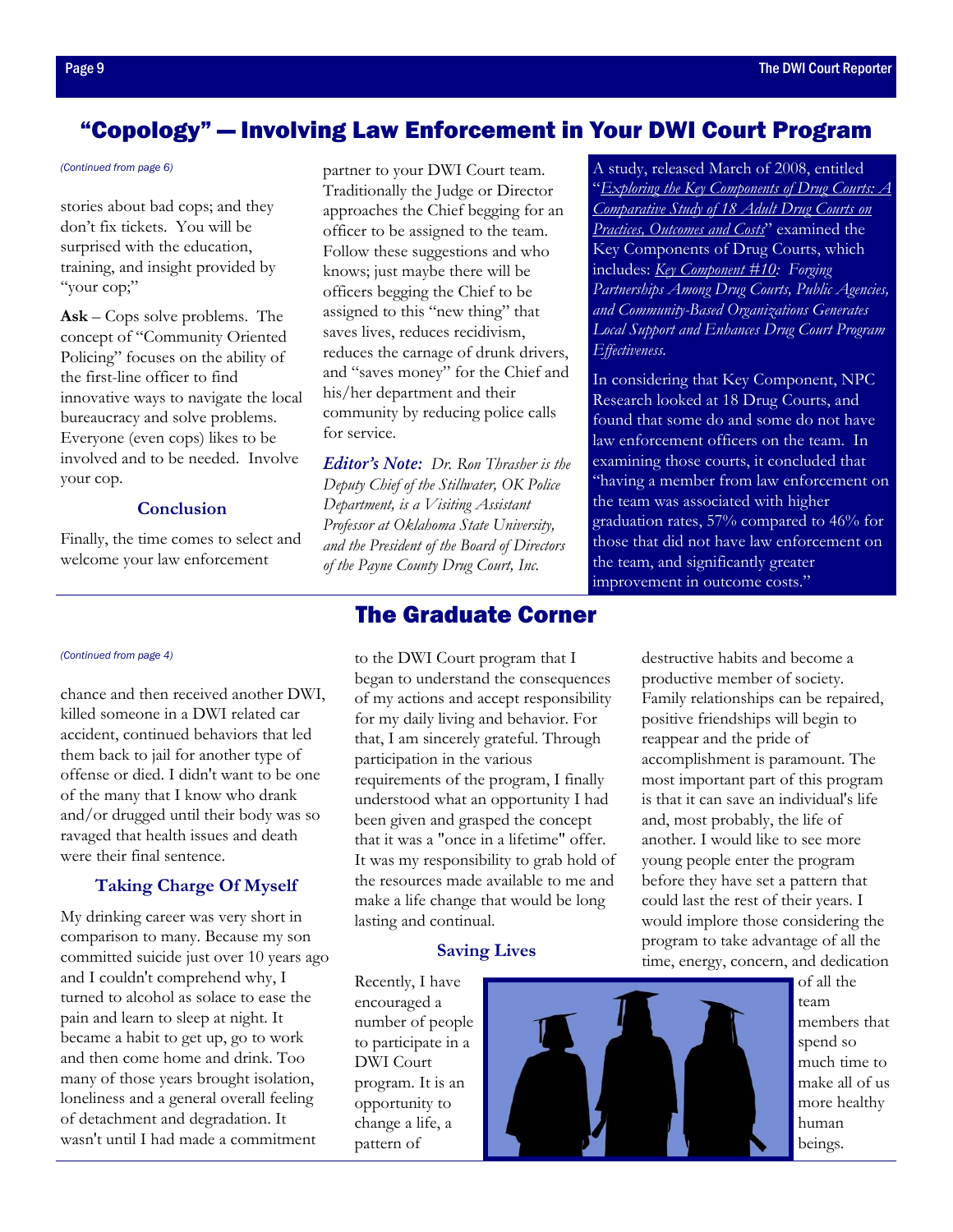## <span id="page-8-0"></span>"Copology" — Involving Law Enforcement in Your DWI Court Program

stories about bad cops; and they don't fix tickets. You will be surprised with the education. training, and insight provided by "your cop;"

**Ask** – Cops solve problems. The concept of "Community Oriented Policing" focuses on the ability of the first-line officer to find innovative ways to navigate the local bureaucracy and solve problems. Everyone (even cops) likes to be involved and to be needed. Involve your cop.

#### **Conclusion**

Finally, the time comes to select and welcome your law enforcement

chance and then received another DWI, killed someone in a DWI related car accident, continued behaviors that led them back to jail for another type of offense or died. I didn't want to be one of the many that I know who drank and/or drugged until their body was so ravaged that health issues and death were their final sentence.

#### **Taking Charge Of Myself**

My drinking career was very short in comparison to many. Because my son committed suicide just over 10 years ago and I couldn't comprehend why, I turned to alcohol as solace to ease the pain and learn to sleep at night. It became a habit to get up, go to work and then come home and drink. Too many of those years brought isolation, loneliness and a general overall feeling of detachment and degradation. It wasn't until I had made a commitment

*(Continued from page 6)* **partner to your DWI Court team.** Traditionally the Judge or Director approaches the Chief begging for an officer to be assigned to the team. Follow these suggestions and who knows; just maybe there will be officers begging the Chief to be assigned to this "new thing" that saves lives, reduces recidivism, reduces the carnage of drunk drivers, and "saves money" for the Chief and his/her department and their community by reducing police calls for service.

> *Editor's Note: Dr. Ron Thrasher is the Deputy Chief of the Stillwater, OK Police Department, is a Visiting Assistant Professor at Oklahoma State University, and the President of the Board of Directors of the Payne County Drug Court, Inc.*

## The Graduate Corner

*[\(Continued from page 4\)](#page-3-0)* to the DWI Court program that I began to understand the consequences of my actions and accept responsibility for my daily living and behavior. For that, I am sincerely grateful. Through participation in the various requirements of the program, I finally understood what an opportunity I had been given and grasped the concept that it was a "once in a lifetime" offer. It was my responsibility to grab hold of the resources made available to me and make a life change that would be long lasting and continual.

#### **Saving Lives**

Recently, I have encouraged a number of people to participate in a DWI Court program. It is an opportunity to change a life, a pattern of



A study, released March of 2008, entitled "*[Exploring the Key Components of Drug Courts: A](http://npcresearch.com/reports-publications/)  Comparative Study of 18 Adult Drug Courts on Practices, Outcomes and Costs*" examined the Key Components of Drug Courts, which includes: *[Key Component #10: F](https://www.ndci.org/publications/more-publications/ten-key-components/)orging Partnerships Among Drug Courts, Public Agencies, and Community-Based Organizations Generates Local Support and Enhances Drug Court Program Effectiveness.*

In considering that Key Component, NPC Research looked at 18 Drug Courts, and found that some do and some do not have law enforcement officers on the team. In examining those courts, it concluded that "having a member from law enforcement on the team was associated with higher graduation rates, 57% compared to 46% for those that did not have law enforcement on the team, and significantly greater improvement in outcome costs."

> destructive habits and become a productive member of society. Family relationships can be repaired, positive friendships will begin to reappear and the pride of accomplishment is paramount. The most important part of this program is that it can save an individual's life and, most probably, the life of another. I would like to see more young people enter the program before they have set a pattern that could last the rest of their years. I would implore those considering the program to take advantage of all the time, energy, concern, and dedication

> > of all the team members that spend so much time to make all of us more healthy human beings.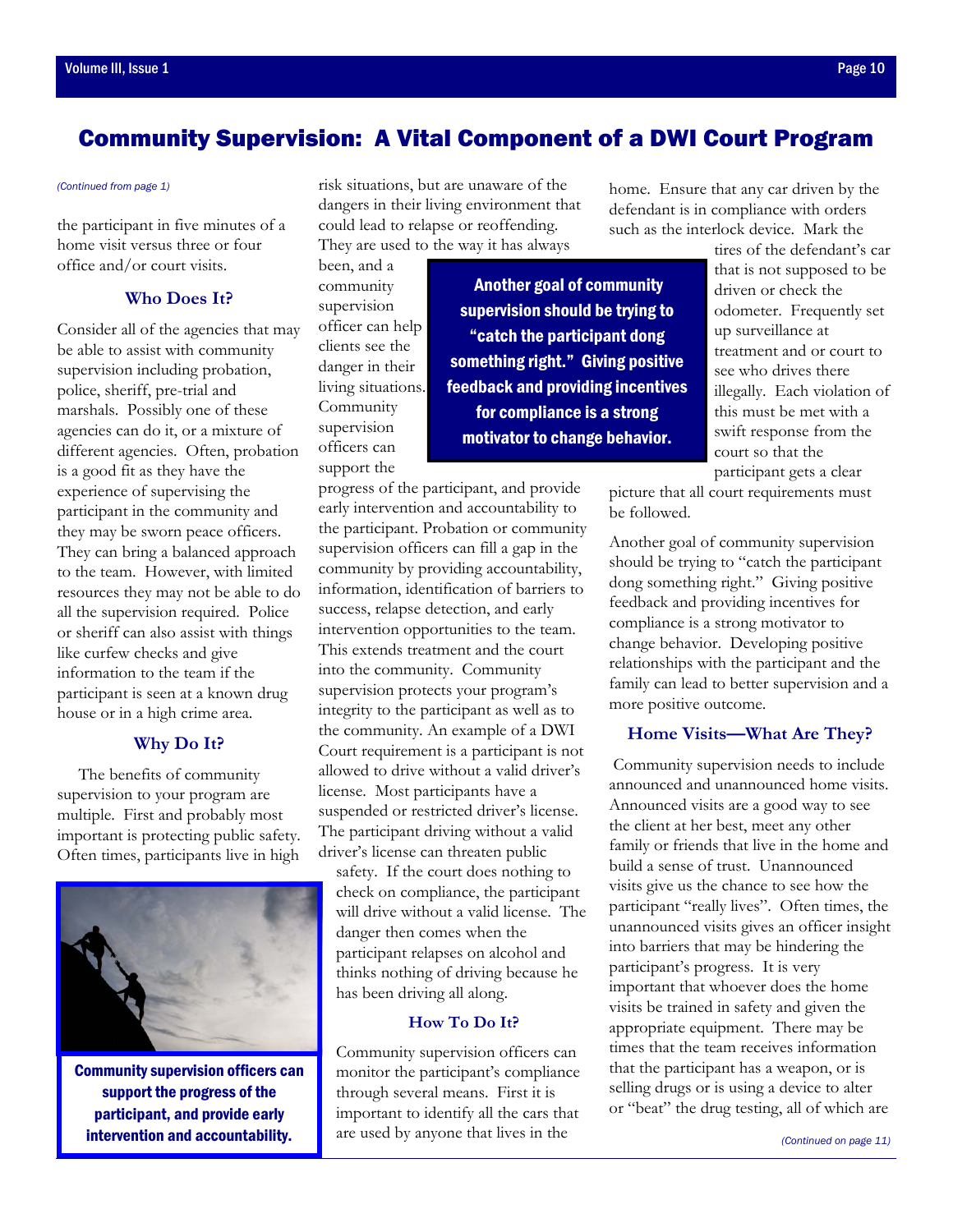## <span id="page-9-0"></span>Community Supervision: A Vital Component of a DWI Court Program

the participant in five minutes of a home visit versus three or four office and/or court visits.

#### **Who Does It?**

Consider all of the agencies that may be able to assist with community supervision including probation, police, sheriff, pre-trial and marshals. Possibly one of these agencies can do it, or a mixture of different agencies. Often, probation is a good fit as they have the experience of supervising the participant in the community and they may be sworn peace officers. They can bring a balanced approach to the team. However, with limited resources they may not be able to do all the supervision required. Police or sheriff can also assist with things like curfew checks and give information to the team if the participant is seen at a known drug house or in a high crime area.

#### **Why Do It?**

 The benefits of community supervision to your program are multiple. First and probably most important is protecting public safety. Often times, participants live in high



Community supervision officers can support the progress of the participant, and provide early intervention and accountability.

*[\(Continued from page 1\)](#page-0-0)* risk situations, but are unaware of the dangers in their living environment that could lead to relapse or reoffending. They are used to the way it has always

> been, and a community supervision officer can help clients see the danger in their living situations. Community supervision officers can support the

 Another goal of community supervision should be trying to "catch the participant dong something right." Giving positive feedback and providing incentives for compliance is a strong motivator to change behavior.

progress of the participant, and provide early intervention and accountability to the participant. Probation or community supervision officers can fill a gap in the community by providing accountability, information, identification of barriers to success, relapse detection, and early intervention opportunities to the team. This extends treatment and the court into the community. Community supervision protects your program's integrity to the participant as well as to the community. An example of a DWI Court requirement is a participant is not allowed to drive without a valid driver's license. Most participants have a suspended or restricted driver's license. The participant driving without a valid driver's license can threaten public

safety. If the court does nothing to check on compliance, the participant will drive without a valid license. The danger then comes when the participant relapses on alcohol and thinks nothing of driving because he has been driving all along.

#### **How To Do It?**

Community supervision officers can monitor the participant's compliance through several means. First it is important to identify all the cars that are used by anyone that lives in the

home. Ensure that any car driven by the defendant is in compliance with orders such as the interlock device. Mark the

tires of the defendant's car that is not supposed to be driven or check the odometer. Frequently set up surveillance at treatment and or court to see who drives there illegally. Each violation of this must be met with a swift response from the court so that the participant gets a clear

picture that all court requirements must be followed.

Another goal of community supervision should be trying to "catch the participant dong something right." Giving positive feedback and providing incentives for compliance is a strong motivator to change behavior. Developing positive relationships with the participant and the family can lead to better supervision and a more positive outcome.

#### **Home Visits—What Are They?**

 Community supervision needs to include announced and unannounced home visits. Announced visits are a good way to see the client at her best, meet any other family or friends that live in the home and build a sense of trust. Unannounced visits give us the chance to see how the participant "really lives". Often times, the unannounced visits gives an officer insight into barriers that may be hindering the participant's progress. It is very important that whoever does the home visits be trained in safety and given the appropriate equipment. There may be times that the team receives information that the participant has a weapon, or is selling drugs or is using a device to alter or "beat" the drug testing, all of which are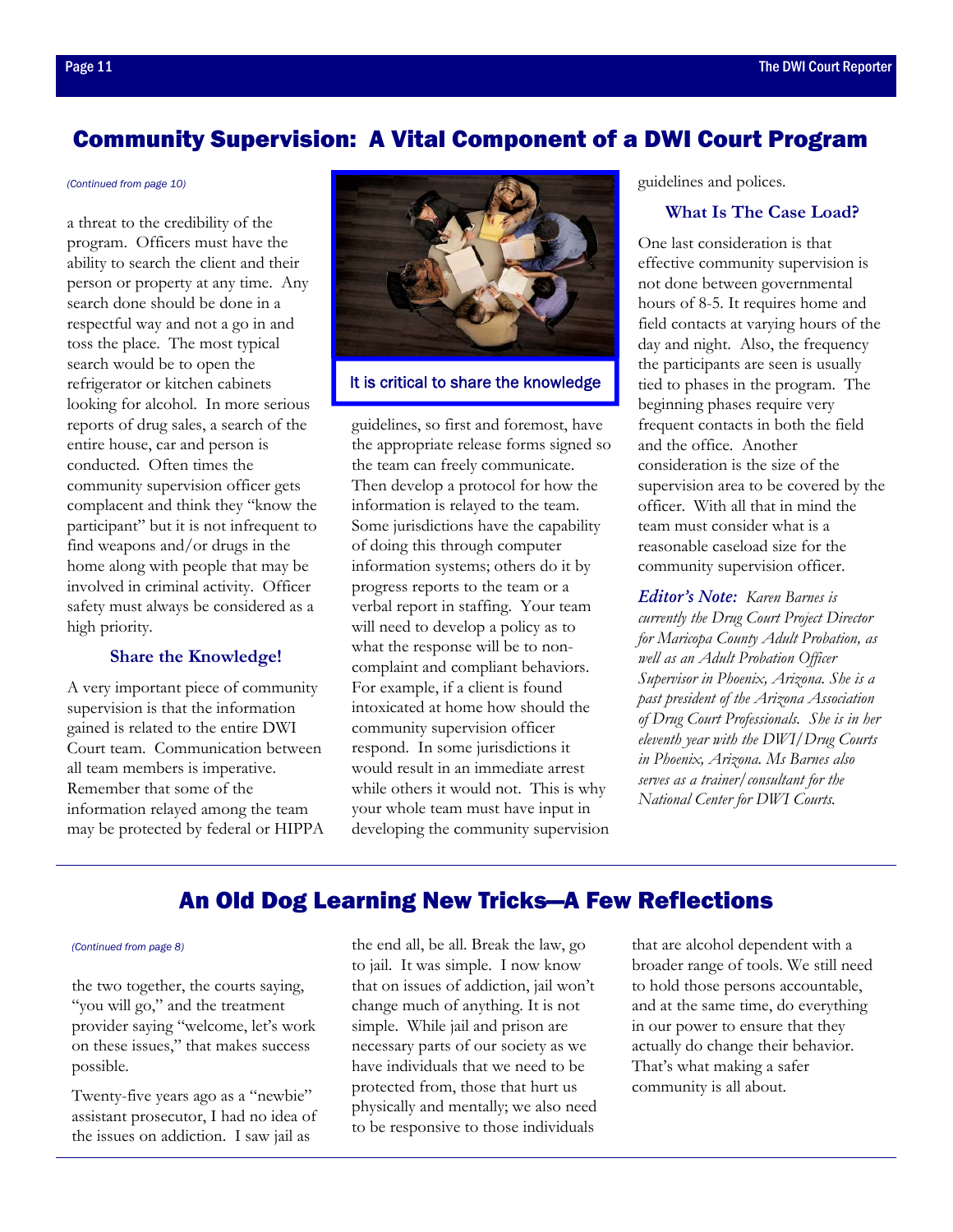## <span id="page-10-0"></span>Community Supervision: A Vital Component of a DWI Court Program

#### *[\(Continued from page 10\)](#page-9-0)*

a threat to the credibility of the program. Officers must have the ability to search the client and their person or property at any time. Any search done should be done in a respectful way and not a go in and toss the place. The most typical search would be to open the refrigerator or kitchen cabinets looking for alcohol. In more serious reports of drug sales, a search of the entire house, car and person is conducted. Often times the community supervision officer gets complacent and think they "know the participant" but it is not infrequent to find weapons and/or drugs in the home along with people that may be involved in criminal activity. Officer safety must always be considered as a high priority.

#### **Share the Knowledge!**

A very important piece of community supervision is that the information gained is related to the entire DWI Court team. Communication between all team members is imperative. Remember that some of the information relayed among the team may be protected by federal or HIPPA



It is critical to share the knowledge

guidelines, so first and foremost, have the appropriate release forms signed so the team can freely communicate. Then develop a protocol for how the information is relayed to the team. Some jurisdictions have the capability of doing this through computer information systems; others do it by progress reports to the team or a verbal report in staffing. Your team will need to develop a policy as to what the response will be to noncomplaint and compliant behaviors. For example, if a client is found intoxicated at home how should the community supervision officer respond. In some jurisdictions it would result in an immediate arrest while others it would not. This is why your whole team must have input in developing the community supervision guidelines and polices.

#### **What Is The Case Load?**

One last consideration is that effective community supervision is not done between governmental hours of 8-5. It requires home and field contacts at varying hours of the day and night. Also, the frequency the participants are seen is usually tied to phases in the program. The beginning phases require very frequent contacts in both the field and the office. Another consideration is the size of the supervision area to be covered by the officer. With all that in mind the team must consider what is a reasonable caseload size for the community supervision officer.

*Editor's Note: Karen Barnes is currently the Drug Court Project Director for Maricopa County Adult Probation, as well as an Adult Probation Officer Supervisor in Phoenix, Arizona. She is a past president of the Arizona Association of Drug Court Professionals. She is in her eleventh year with the DWI/Drug Courts in Phoenix, Arizona. Ms Barnes also serves as a trainer/consultant for the National Center for DWI Courts.* 

## An Old Dog Learning New Tricks—A Few Reflections

#### *[\(Continued from page 8\)](#page-7-0)*

the two together, the courts saying, "you will go," and the treatment provider saying "welcome, let's work on these issues," that makes success possible.

Twenty-five years ago as a "newbie" assistant prosecutor, I had no idea of the issues on addiction. I saw jail as

the end all, be all. Break the law, go to jail. It was simple. I now know that on issues of addiction, jail won't change much of anything. It is not simple. While jail and prison are necessary parts of our society as we have individuals that we need to be protected from, those that hurt us physically and mentally; we also need to be responsive to those individuals

that are alcohol dependent with a broader range of tools. We still need to hold those persons accountable, and at the same time, do everything in our power to ensure that they actually do change their behavior. That's what making a safer community is all about.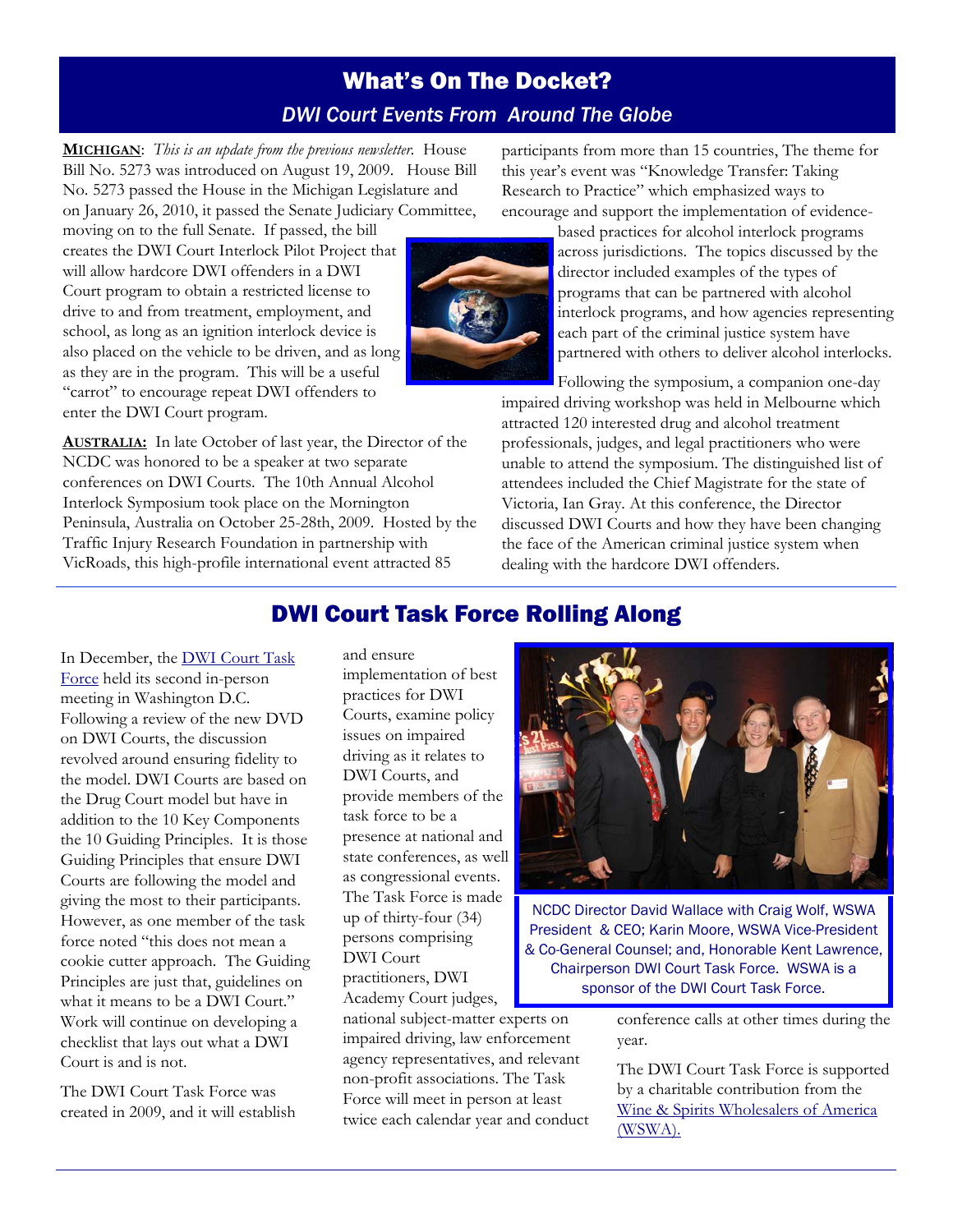## What's On The Docket? *DWI Court Events From Around The Globe*

<span id="page-11-0"></span>**MICHIGAN**: *This is an update from the previous newsletter.* House Bill No. 5273 was introduced on August 19, 2009. House Bill No. 5273 passed the House in the Michigan Legislature and on January 26, 2010, it passed the Senate Judiciary Committee,

moving on to the full Senate. If passed, the bill creates the DWI Court Interlock Pilot Project that will allow hardcore DWI offenders in a DWI Court program to obtain a restricted license to drive to and from treatment, employment, and school, as long as an ignition interlock device is also placed on the vehicle to be driven, and as long as they are in the program. This will be a useful "carrot" to encourage repeat DWI offenders to enter the DWI Court program.

**AUSTRALIA:** In late October of last year, the Director of the NCDC was honored to be a speaker at two separate conferences on DWI Courts. The 10th Annual Alcohol Interlock Symposium took place on the Mornington Peninsula, Australia on October 25-28th, 2009. Hosted by the Traffic Injury Research Foundation in partnership with VicRoads, this high-profile international event attracted 85

participants from more than 15 countries, The theme for this year's event was "Knowledge Transfer: Taking Research to Practice" which emphasized ways to encourage and support the implementation of evidence-



based practices for alcohol interlock programs across jurisdictions. The topics discussed by the director included examples of the types of programs that can be partnered with alcohol interlock programs, and how agencies representing each part of the criminal justice system have partnered with others to deliver alcohol interlocks.

Following the symposium, a companion one-day impaired driving workshop was held in Melbourne which attracted 120 interested drug and alcohol treatment professionals, judges, and legal practitioners who were unable to attend the symposium. The distinguished list of attendees included the Chief Magistrate for the state of Victoria, Ian Gray. At this conference, the Director discussed DWI Courts and how they have been changing the face of the American criminal justice system when dealing with the hardcore DWI offenders.

## DWI Court Task Force Rolling Along

[In December, the DWI Court Task](http://www.dwicourts.org/resources/dwi-court-task-force)  Force held its second in-person meeting in Washington D.C. Following a review of the new DVD on DWI Courts, the discussion revolved around ensuring fidelity to the model. DWI Courts are based on the Drug Court model but have in addition to the 10 Key Components the 10 Guiding Principles. It is those Guiding Principles that ensure DWI Courts are following the model and giving the most to their participants. However, as one member of the task force noted "this does not mean a cookie cutter approach. The Guiding Principles are just that, guidelines on what it means to be a DWI Court." Work will continue on developing a checklist that lays out what a DWI Court is and is not.

The DWI Court Task Force was created in 2009, and it will establish

and ensure implementation of best practices for DWI Courts, examine policy issues on impaired driving as it relates to DWI Courts, and provide members of the task force to be a presence at national and state conferences, as well as congressional events. The Task Force is made up of thirty-four (34) persons comprising DWI Court practitioners, DWI Academy Court judges,

national subject-matter experts on impaired driving, law enforcement agency representatives, and relevant non-profit associations. The Task Force will meet in person at least twice each calendar year and conduct



NCDC Director David Wallace with Craig Wolf, WSWA President & CEO; Karin Moore, WSWA Vice-President & Co-General Counsel; and, Honorable Kent Lawrence, Chairperson DWI Court Task Force. WSWA is a sponsor of the DWI Court Task Force.

> conference calls at other times during the year.

The DWI Court Task Force is supported by a charitable contribution from the [Wine & Spirits Wholesalers of America](http://www.dwicourts.org/partners/corporate-partners)  (WSWA).